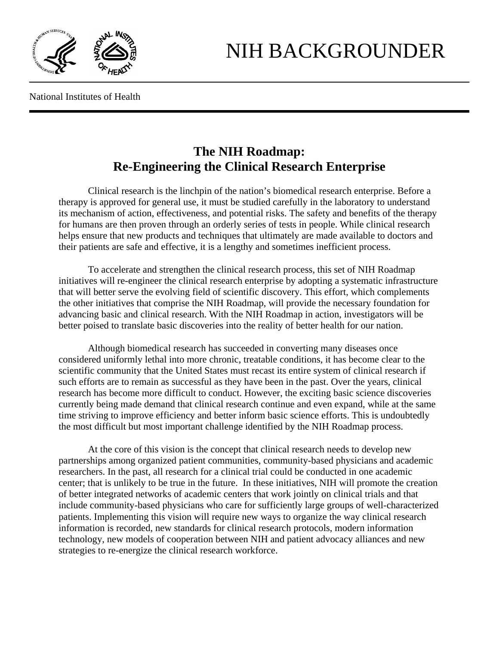

National Institutes of Health

## **The NIH Roadmap: Re-Engineering the Clinical Research Enterprise**

Clinical research is the linchpin of the nation's biomedical research enterprise. Before a therapy is approved for general use, it must be studied carefully in the laboratory to understand its mechanism of action, effectiveness, and potential risks. The safety and benefits of the therapy for humans are then proven through an orderly series of tests in people. While clinical research helps ensure that new products and techniques that ultimately are made available to doctors and their patients are safe and effective, it is a lengthy and sometimes inefficient process.

To accelerate and strengthen the clinical research process, this set of NIH Roadmap initiatives will re-engineer the clinical research enterprise by adopting a systematic infrastructure that will better serve the evolving field of scientific discovery. This effort, which complements the other initiatives that comprise the NIH Roadmap, will provide the necessary foundation for advancing basic and clinical research. With the NIH Roadmap in action, investigators will be better poised to translate basic discoveries into the reality of better health for our nation.

Although biomedical research has succeeded in converting many diseases once considered uniformly lethal into more chronic, treatable conditions, it has become clear to the scientific community that the United States must recast its entire system of clinical research if such efforts are to remain as successful as they have been in the past. Over the years, clinical research has become more difficult to conduct. However, the exciting basic science discoveries currently being made demand that clinical research continue and even expand, while at the same time striving to improve efficiency and better inform basic science efforts. This is undoubtedly the most difficult but most important challenge identified by the NIH Roadmap process.

At the core of this vision is the concept that clinical research needs to develop new partnerships among organized patient communities, community-based physicians and academic researchers. In the past, all research for a clinical trial could be conducted in one academic center; that is unlikely to be true in the future. In these initiatives, NIH will promote the creation of better integrated networks of academic centers that work jointly on clinical trials and that include community-based physicians who care for sufficiently large groups of well-characterized patients. Implementing this vision will require new ways to organize the way clinical research information is recorded, new standards for clinical research protocols, modern information technology, new models of cooperation between NIH and patient advocacy alliances and new strategies to re-energize the clinical research workforce.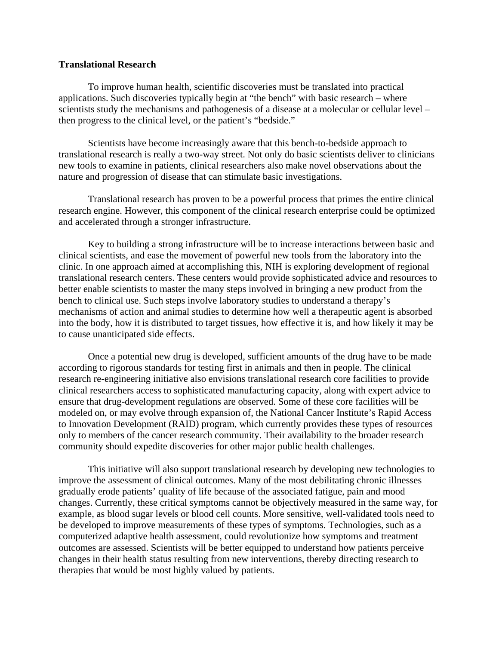## **Translational Research**

To improve human health, scientific discoveries must be translated into practical applications. Such discoveries typically begin at "the bench" with basic research – where scientists study the mechanisms and pathogenesis of a disease at a molecular or cellular level – then progress to the clinical level, or the patient's "bedside."

Scientists have become increasingly aware that this bench-to-bedside approach to translational research is really a two-way street. Not only do basic scientists deliver to clinicians new tools to examine in patients, clinical researchers also make novel observations about the nature and progression of disease that can stimulate basic investigations.

Translational research has proven to be a powerful process that primes the entire clinical research engine. However, this component of the clinical research enterprise could be optimized and accelerated through a stronger infrastructure.

Key to building a strong infrastructure will be to increase interactions between basic and clinical scientists, and ease the movement of powerful new tools from the laboratory into the clinic. In one approach aimed at accomplishing this, NIH is exploring development of regional translational research centers. These centers would provide sophisticated advice and resources to better enable scientists to master the many steps involved in bringing a new product from the bench to clinical use. Such steps involve laboratory studies to understand a therapy's mechanisms of action and animal studies to determine how well a therapeutic agent is absorbed into the body, how it is distributed to target tissues, how effective it is, and how likely it may be to cause unanticipated side effects.

Once a potential new drug is developed, sufficient amounts of the drug have to be made according to rigorous standards for testing first in animals and then in people. The clinical research re-engineering initiative also envisions translational research core facilities to provide clinical researchers access to sophisticated manufacturing capacity, along with expert advice to ensure that drug-development regulations are observed. Some of these core facilities will be modeled on, or may evolve through expansion of, the National Cancer Institute's Rapid Access to Innovation Development (RAID) program, which currently provides these types of resources only to members of the cancer research community. Their availability to the broader research community should expedite discoveries for other major public health challenges.

This initiative will also support translational research by developing new technologies to improve the assessment of clinical outcomes. Many of the most debilitating chronic illnesses gradually erode patients' quality of life because of the associated fatigue, pain and mood changes. Currently, these critical symptoms cannot be objectively measured in the same way, for example, as blood sugar levels or blood cell counts. More sensitive, well-validated tools need to be developed to improve measurements of these types of symptoms. Technologies, such as a computerized adaptive health assessment, could revolutionize how symptoms and treatment outcomes are assessed. Scientists will be better equipped to understand how patients perceive changes in their health status resulting from new interventions, thereby directing research to therapies that would be most highly valued by patients.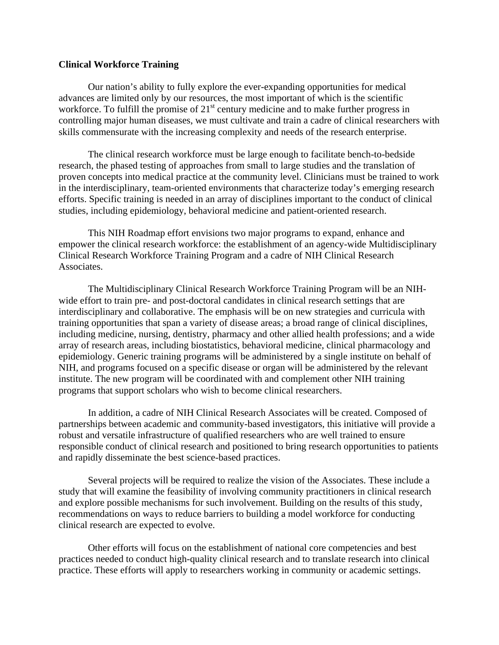## **Clinical Workforce Training**

 Our nation's ability to fully explore the ever-expanding opportunities for medical advances are limited only by our resources, the most important of which is the scientific workforce. To fulfill the promise of  $21<sup>st</sup>$  century medicine and to make further progress in controlling major human diseases, we must cultivate and train a cadre of clinical researchers with skills commensurate with the increasing complexity and needs of the research enterprise.

 The clinical research workforce must be large enough to facilitate bench-to-bedside research, the phased testing of approaches from small to large studies and the translation of proven concepts into medical practice at the community level. Clinicians must be trained to work in the interdisciplinary, team-oriented environments that characterize today's emerging research efforts. Specific training is needed in an array of disciplines important to the conduct of clinical studies, including epidemiology, behavioral medicine and patient-oriented research.

 This NIH Roadmap effort envisions two major programs to expand, enhance and empower the clinical research workforce: the establishment of an agency-wide Multidisciplinary Clinical Research Workforce Training Program and a cadre of NIH Clinical Research Associates.

The Multidisciplinary Clinical Research Workforce Training Program will be an NIHwide effort to train pre- and post-doctoral candidates in clinical research settings that are interdisciplinary and collaborative. The emphasis will be on new strategies and curricula with training opportunities that span a variety of disease areas; a broad range of clinical disciplines, including medicine, nursing, dentistry, pharmacy and other allied health professions; and a wide array of research areas, including biostatistics, behavioral medicine, clinical pharmacology and epidemiology. Generic training programs will be administered by a single institute on behalf of NIH, and programs focused on a specific disease or organ will be administered by the relevant institute. The new program will be coordinated with and complement other NIH training programs that support scholars who wish to become clinical researchers.

 In addition, a cadre of NIH Clinical Research Associates will be created. Composed of partnerships between academic and community-based investigators, this initiative will provide a robust and versatile infrastructure of qualified researchers who are well trained to ensure responsible conduct of clinical research and positioned to bring research opportunities to patients and rapidly disseminate the best science-based practices.

 Several projects will be required to realize the vision of the Associates. These include a study that will examine the feasibility of involving community practitioners in clinical research and explore possible mechanisms for such involvement. Building on the results of this study, recommendations on ways to reduce barriers to building a model workforce for conducting clinical research are expected to evolve.

 Other efforts will focus on the establishment of national core competencies and best practices needed to conduct high-quality clinical research and to translate research into clinical practice. These efforts will apply to researchers working in community or academic settings.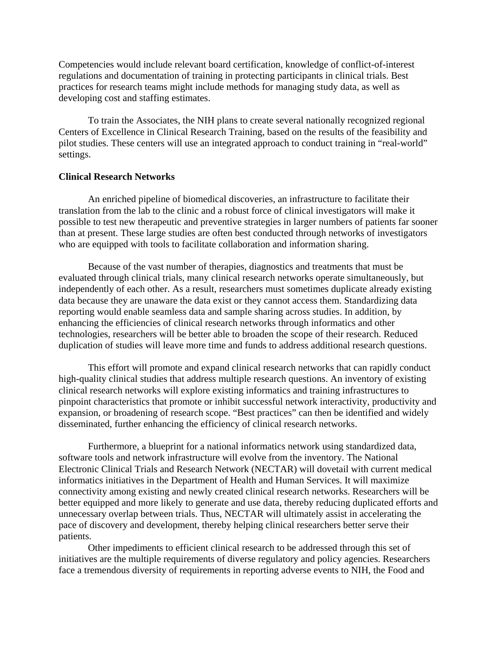Competencies would include relevant board certification, knowledge of conflict-of-interest regulations and documentation of training in protecting participants in clinical trials. Best practices for research teams might include methods for managing study data, as well as developing cost and staffing estimates.

 To train the Associates, the NIH plans to create several nationally recognized regional Centers of Excellence in Clinical Research Training, based on the results of the feasibility and pilot studies. These centers will use an integrated approach to conduct training in "real-world" settings.

## **Clinical Research Networks**

An enriched pipeline of biomedical discoveries, an infrastructure to facilitate their translation from the lab to the clinic and a robust force of clinical investigators will make it possible to test new therapeutic and preventive strategies in larger numbers of patients far sooner than at present. These large studies are often best conducted through networks of investigators who are equipped with tools to facilitate collaboration and information sharing.

 Because of the vast number of therapies, diagnostics and treatments that must be evaluated through clinical trials, many clinical research networks operate simultaneously, but independently of each other. As a result, researchers must sometimes duplicate already existing data because they are unaware the data exist or they cannot access them. Standardizing data reporting would enable seamless data and sample sharing across studies. In addition, by enhancing the efficiencies of clinical research networks through informatics and other technologies, researchers will be better able to broaden the scope of their research. Reduced duplication of studies will leave more time and funds to address additional research questions.

 This effort will promote and expand clinical research networks that can rapidly conduct high-quality clinical studies that address multiple research questions. An inventory of existing clinical research networks will explore existing informatics and training infrastructures to pinpoint characteristics that promote or inhibit successful network interactivity, productivity and expansion, or broadening of research scope. "Best practices" can then be identified and widely disseminated, further enhancing the efficiency of clinical research networks.

 Furthermore, a blueprint for a national informatics network using standardized data, software tools and network infrastructure will evolve from the inventory. The National Electronic Clinical Trials and Research Network (NECTAR) will dovetail with current medical informatics initiatives in the Department of Health and Human Services. It will maximize connectivity among existing and newly created clinical research networks. Researchers will be better equipped and more likely to generate and use data, thereby reducing duplicated efforts and unnecessary overlap between trials. Thus, NECTAR will ultimately assist in accelerating the pace of discovery and development, thereby helping clinical researchers better serve their patients.

Other impediments to efficient clinical research to be addressed through this set of initiatives are the multiple requirements of diverse regulatory and policy agencies. Researchers face a tremendous diversity of requirements in reporting adverse events to NIH, the Food and